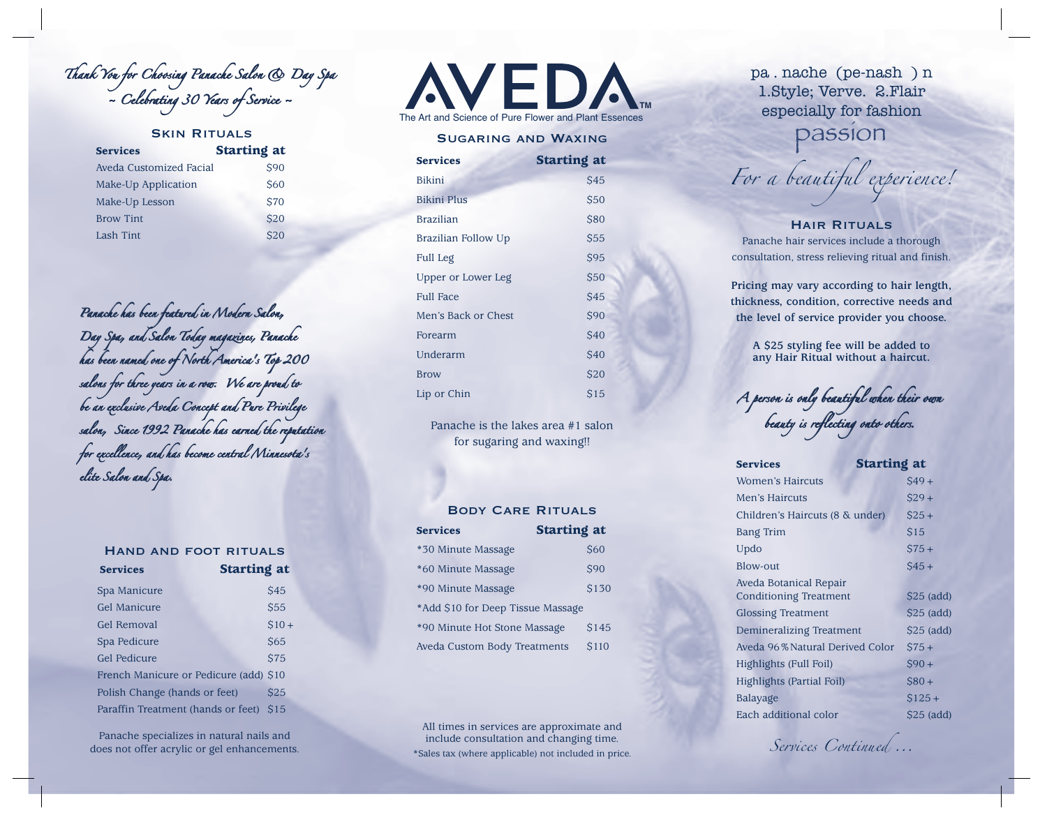Thank You for Choosing Panache Salon & Day Spa Spa  $\sim$  Celebrating 30 Years of Service  $\sim$ 

| <b>SKIN RITUALS</b>     |                    |  |  |
|-------------------------|--------------------|--|--|
| <b>Services</b>         | <b>Starting at</b> |  |  |
| Aveda Customized Facial | <b>\$90</b>        |  |  |
| Make-Up Application     | <b>S60</b>         |  |  |
| Make-Up Lesson          | <b>\$70</b>        |  |  |
| <b>Brow Tint</b>        | <b>\$20</b>        |  |  |
| <b>Lash Tint</b>        | \$20               |  |  |

Panache has been featured in Modern Salon, Day Spa, and Salon Today magazines, Panache has been named one of North America's Top 200 salons for three years in a row<del>.</del> We are proud to be an exclusive Aveda Concept and Pure Privilege salon, Since 1992 Panache has earned the reputation for excellence, and has become central Minnesota's elite Salon and Spa.

|                     | <b>HAND AND FOOT RITUALS</b>           |                 |
|---------------------|----------------------------------------|-----------------|
| <b>Services</b>     | <b>Starting at</b>                     |                 |
| Spa Manicure        |                                        | <b>\$45</b>     |
| Gel Manicure        |                                        | <b>S55</b>      |
| Gel Removal         |                                        | $$10+$          |
| Spa Pedicure        |                                        | <b>S65</b>      |
| <b>Gel Pedicure</b> |                                        | <b>S75</b>      |
|                     | French Manicure or Pedicure (add) \$10 |                 |
|                     | Polish Change (hands or feet)          | S <sub>25</sub> |
|                     | Paraffin Treatment (hands or feet)     | S <sub>15</sub> |

Panache specializes in natural nails and does not offer acrylic or gel enhancements. **AVEDA TM** and Science of Pure Flower and Plant Essence

# Sugaring and Waxing

| <b>Services</b>     | <b>Starting at</b> |
|---------------------|--------------------|
| <b>Bikini</b>       | <b>\$45</b>        |
| <b>Bikini Plus</b>  | \$50               |
| <b>Brazilian</b>    | \$80               |
| Brazilian Follow Up | <b>\$55</b>        |
| Full Leg            | \$95               |
| Upper or Lower Leg  | \$50               |
| <b>Full Face</b>    | <b>\$45</b>        |
| Men's Back or Chest | \$90               |
| Forearm             | \$40               |
| Underarm            | \$40               |
| <b>Brow</b>         | \$20               |
| Lip or Chin         | \$15               |

Panache is the lakes area #1 salon for sugaring and waxing!!

#### Body Care Rituals

| <b>Services</b>                   | <b>Starting at</b> |
|-----------------------------------|--------------------|
| *30 Minute Massage                | <b>S60</b>         |
| *60 Minute Massage                | <b>\$90</b>        |
| *90 Minute Massage                | \$130              |
| *Add \$10 for Deep Tissue Massage |                    |
| *90 Minute Hot Stone Massage      | \$145              |
| Aveda Custom Body Treatments      | <b>\$110</b>       |

All times in services are approximate and include consultation and changing time. \*Sales tax (where applicable) not included in price. pa . nache (pe-nash ) n 1.Style; Verve. 2.Flair especially for fashion

passion

*For a beautiful experience!*

## Hair Rituals

Panache hair services include a thorough consultation, stress relieving ritual and finish.

**Pricing may vary according to hair length, thickness, condition, corrective needs and the level of service provider you choose.**

> **A \$25 styling fee will be added to any Hair Ritual without a haircut.**

 $\tau$  person is only beautiful when their own beauty is reflecting onto others. onto others.

| <b>Services</b>                 | <b>Starting at</b> |
|---------------------------------|--------------------|
| <b>Women's Haircuts</b>         | $$49+$             |
| Men's Haircuts                  | $$29+$             |
| Children's Haircuts (8 & under) | $$25 +$            |
| <b>Bang Trim</b>                | \$15               |
| Updo                            | $$75+$             |
| <b>Blow-out</b>                 | $$45+$             |
| Aveda Botanical Repair          |                    |
| <b>Conditioning Treatment</b>   | $$25$ (add)        |
| <b>Glossing Treatment</b>       | $$25$ (add)        |
| Demineralizing Treatment        | $$25$ (add)        |
| Aveda 96% Natural Derived Color | $$75+$             |
| Highlights (Full Foil)          | $$90+$             |
| Highlights (Partial Foil)       | $$80+$             |
| Balayage                        | $$125+$            |
| Each additional color           | $$25$ (add)        |

*Services Continued ...*